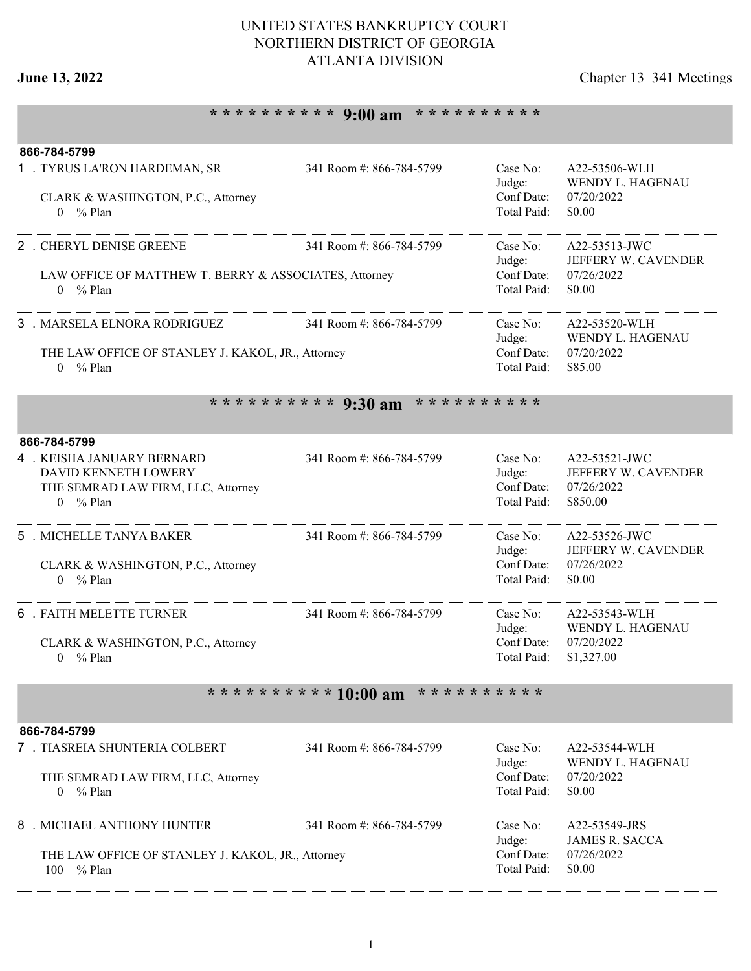## **June 13, 2022** Chapter 13 341 Meetings

# **\* \* \* \* \* \* \* \* \* \* 9:00 am \* \* \* \* \* \* \* \* \* \***

|                                                          | 866-784-5799<br>1 . TYRUS LA'RON HARDEMAN, SR<br>CLARK & WASHINGTON, P.C., Attorney<br>$0 \frac{9}{6}$ Plan      | 341 Room #: 866-784-5799 | Case No:<br>Judge:<br>Conf Date:<br>Total Paid: | A22-53506-WLH<br>WENDY L. HAGENAU<br>07/20/2022<br>\$0.00      |  |  |
|----------------------------------------------------------|------------------------------------------------------------------------------------------------------------------|--------------------------|-------------------------------------------------|----------------------------------------------------------------|--|--|
|                                                          | 2 . CHERYL DENISE GREENE<br>LAW OFFICE OF MATTHEW T. BERRY & ASSOCIATES, Attorney<br>% Plan<br>$\overline{0}$    | 341 Room #: 866-784-5799 | Case No:<br>Judge:<br>Conf Date:<br>Total Paid: | A22-53513-JWC<br>JEFFERY W. CAVENDER<br>07/26/2022<br>\$0.00   |  |  |
|                                                          | 3 . MARSELA ELNORA RODRIGUEZ<br>THE LAW OFFICE OF STANLEY J. KAKOL, JR., Attorney<br>$0 \frac{9}{6}$ Plan        | 341 Room #: 866-784-5799 | Case No:<br>Judge:<br>Conf Date:<br>Total Paid: | A22-53520-WLH<br>WENDY L. HAGENAU<br>07/20/2022<br>\$85.00     |  |  |
|                                                          | ********** 9:30 am<br>* * * * * * * * * *                                                                        |                          |                                                 |                                                                |  |  |
|                                                          | 866-784-5799                                                                                                     |                          |                                                 |                                                                |  |  |
|                                                          | 4 . KEISHA JANUARY BERNARD<br>DAVID KENNETH LOWERY<br>THE SEMRAD LAW FIRM, LLC, Attorney<br>$0 \frac{9}{6}$ Plan | 341 Room #: 866-784-5799 | Case No:<br>Judge:<br>Conf Date:<br>Total Paid: | A22-53521-JWC<br>JEFFERY W. CAVENDER<br>07/26/2022<br>\$850.00 |  |  |
|                                                          | 5 . MICHELLE TANYA BAKER<br>CLARK & WASHINGTON, P.C., Attorney<br>$0 \frac{9}{6}$ Plan                           | 341 Room #: 866-784-5799 | Case No:<br>Judge:<br>Conf Date:<br>Total Paid: | A22-53526-JWC<br>JEFFERY W. CAVENDER<br>07/26/2022<br>\$0.00   |  |  |
|                                                          | <b>6 . FAITH MELETTE TURNER</b><br>CLARK & WASHINGTON, P.C., Attorney<br>$%$ Plan<br>0                           | 341 Room #: 866-784-5799 | Case No:<br>Judge:<br>Conf Date:<br>Total Paid: | A22-53543-WLH<br>WENDY L. HAGENAU<br>07/20/2022<br>\$1,327.00  |  |  |
| * * * * * * * * * *<br>* * * * * * * * * *<br>$10:00$ am |                                                                                                                  |                          |                                                 |                                                                |  |  |
|                                                          | 866-784-5799                                                                                                     |                          |                                                 |                                                                |  |  |
|                                                          | 7 . TIASREIA SHUNTERIA COLBERT<br>THE SEMRAD LAW FIRM, LLC, Attorney<br>$0 \frac{9}{6}$ Plan                     | 341 Room #: 866-784-5799 | Case No:<br>Judge:<br>Conf Date:<br>Total Paid: | A22-53544-WLH<br>WENDY L. HAGENAU<br>07/20/2022<br>\$0.00      |  |  |
|                                                          | 8 . MICHAEL ANTHONY HUNTER<br>THE LAW OFFICE OF STANLEY J. KAKOL, JR., Attorney<br>100<br>% Plan                 | 341 Room #: 866-784-5799 | Case No:<br>Judge:<br>Conf Date:<br>Total Paid: | A22-53549-JRS<br><b>JAMES R. SACCA</b><br>07/26/2022<br>\$0.00 |  |  |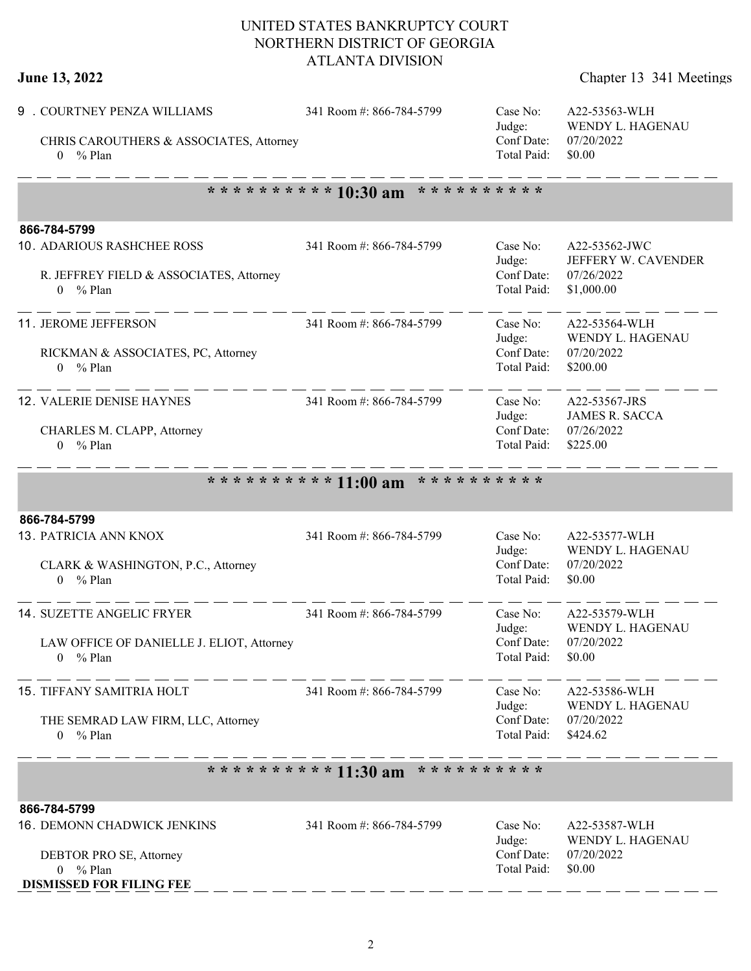| June 13, 2022 | Chapter 13 341 Meetings |
|---------------|-------------------------|
|---------------|-------------------------|

 $-$ 

| 9 . COURTNEY PENZA WILLIAMS<br>CHRIS CAROUTHERS & ASSOCIATES, Attorney<br>$0 \frac{9}{6}$ Plan                                           | 341 Room #: 866-784-5799                   | Case No:<br>Judge:<br>Conf Date:<br>Total Paid: | A22-53563-WLH<br>WENDY L. HAGENAU<br>07/20/2022<br>\$0.00        |  |
|------------------------------------------------------------------------------------------------------------------------------------------|--------------------------------------------|-------------------------------------------------|------------------------------------------------------------------|--|
|                                                                                                                                          | ********** 10:30 am<br>* * * * * * * * * * |                                                 |                                                                  |  |
| 866-784-5799<br>10. ADARIOUS RASHCHEE ROSS<br>R. JEFFREY FIELD & ASSOCIATES, Attorney<br>% Plan<br>$\overline{0}$                        | 341 Room #: 866-784-5799                   | Case No:<br>Judge:<br>Conf Date:<br>Total Paid: | A22-53562-JWC<br>JEFFERY W. CAVENDER<br>07/26/2022<br>\$1,000.00 |  |
| 11. JEROME JEFFERSON<br>RICKMAN & ASSOCIATES, PC, Attorney<br>$0 \frac{9}{6}$ Plan                                                       | 341 Room #: 866-784-5799                   | Case No:<br>Judge:<br>Conf Date:<br>Total Paid: | A22-53564-WLH<br>WENDY L. HAGENAU<br>07/20/2022<br>\$200.00      |  |
| 12. VALERIE DENISE HAYNES<br>CHARLES M. CLAPP, Attorney<br>% Plan<br>0                                                                   | 341 Room #: 866-784-5799                   | Case No:<br>Judge:<br>Conf Date:<br>Total Paid: | A22-53567-JRS<br><b>JAMES R. SACCA</b><br>07/26/2022<br>\$225.00 |  |
|                                                                                                                                          | * * * * * * * * * *<br>********** 11:00 am |                                                 |                                                                  |  |
| 866-784-5799<br>13. PATRICIA ANN KNOX<br>CLARK & WASHINGTON, P.C., Attorney<br>$0 \frac{9}{6}$ Plan                                      | 341 Room #: 866-784-5799                   | Case No:<br>Judge:<br>Conf Date:<br>Total Paid: | A22-53577-WLH<br>WENDY L. HAGENAU<br>07/20/2022<br>\$0.00        |  |
| <b>14. SUZETTE ANGELIC FRYER</b><br>LAW OFFICE OF DANIELLE J. ELIOT, Attorney<br>$%$ Plan<br>0                                           | 341 Room #: 866-784-5799                   | Case No:<br>Judge:<br>Conf Date:<br>Total Paid: | A22-53579-WLH<br>WENDY L. HAGENAU<br>07/20/2022<br>\$0.00        |  |
| 15. TIFFANY SAMITRIA HOLT<br>THE SEMRAD LAW FIRM, LLC, Attorney<br>$0 \frac{9}{6}$ Plan                                                  | 341 Room #: 866-784-5799                   | Case No:<br>Judge:<br>Conf Date:<br>Total Paid: | A22-53586-WLH<br>WENDY L. HAGENAU<br>07/20/2022<br>\$424.62      |  |
| ********** 11:30 am<br>* * * * * * * * * *                                                                                               |                                            |                                                 |                                                                  |  |
| 866-784-5799<br><b>16. DEMONN CHADWICK JENKINS</b><br>DEBTOR PRO SE, Attorney<br>$0 \frac{9}{6}$ Plan<br><b>DISMISSED FOR FILING FEE</b> | 341 Room #: 866-784-5799                   | Case No:<br>Judge:<br>Conf Date:<br>Total Paid: | A22-53587-WLH<br>WENDY L. HAGENAU<br>07/20/2022<br>\$0.00        |  |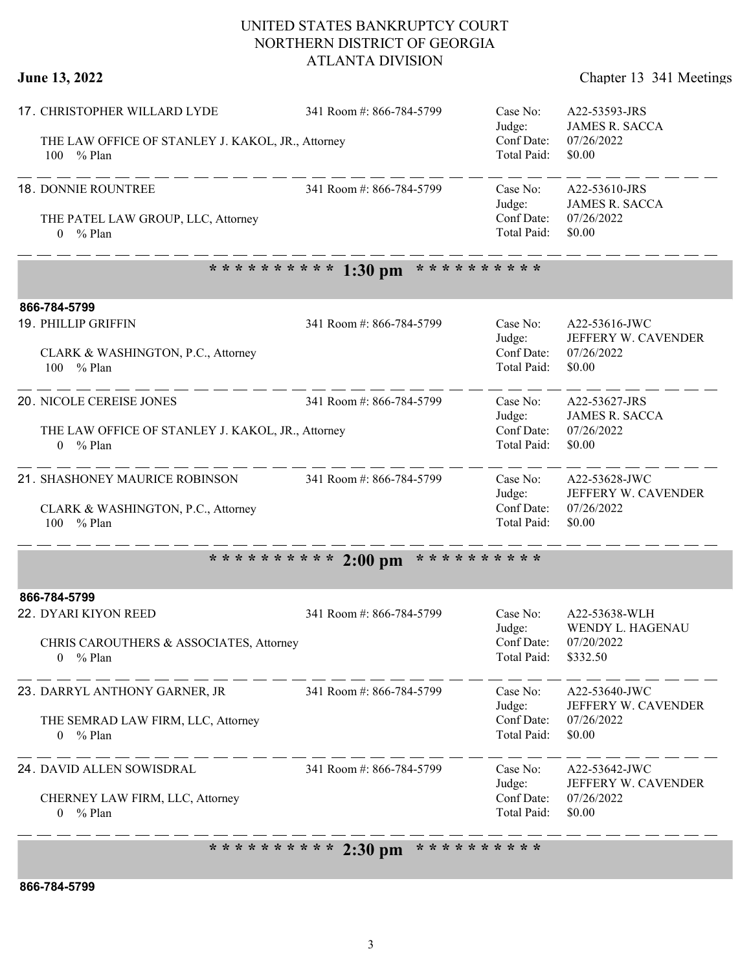**June 13, 2022** Chapter 13 341 Meetings

|  | 17. CHRISTOPHER WILLARD LYDE                                              | 341 Room #: 866-784-5799                  | Case No:<br>Judge:        | A22-53593-JRS<br><b>JAMES R. SACCA</b>                       |
|--|---------------------------------------------------------------------------|-------------------------------------------|---------------------------|--------------------------------------------------------------|
|  | THE LAW OFFICE OF STANLEY J. KAKOL, JR., Attorney<br>% Plan<br>100        |                                           | Conf Date:<br>Total Paid: | 07/26/2022<br>\$0.00                                         |
|  | 18. DONNIE ROUNTREE                                                       | 341 Room #: 866-784-5799                  | Case No:<br>Judge:        | A22-53610-JRS<br><b>JAMES R. SACCA</b>                       |
|  | THE PATEL LAW GROUP, LLC, Attorney<br>$0 \frac{9}{6}$ Plan                |                                           | Conf Date:<br>Total Paid: | 07/26/2022<br>\$0.00                                         |
|  |                                                                           | ********** 1:30 pm<br>* * * * * * * * * * |                           |                                                              |
|  | 866-784-5799                                                              |                                           |                           |                                                              |
|  | 19. PHILLIP GRIFFIN                                                       | 341 Room #: 866-784-5799                  | Case No:<br>Judge:        | A22-53616-JWC<br>JEFFERY W. CAVENDER                         |
|  | CLARK & WASHINGTON, P.C., Attorney<br>100 % Plan                          |                                           | Conf Date:<br>Total Paid: | 07/26/2022<br>\$0.00                                         |
|  | 20. NICOLE CEREISE JONES                                                  | 341 Room #: 866-784-5799                  | Case No:<br>Judge:        | A22-53627-JRS<br><b>JAMES R. SACCA</b>                       |
|  | THE LAW OFFICE OF STANLEY J. KAKOL, JR., Attorney<br>$0 \frac{9}{6}$ Plan |                                           | Conf Date:<br>Total Paid: | 07/26/2022<br>\$0.00                                         |
|  | 21. SHASHONEY MAURICE ROBINSON                                            | 341 Room #: 866-784-5799                  | Case No:<br>Judge:        | A22-53628-JWC<br>JEFFERY W. CAVENDER                         |
|  | CLARK & WASHINGTON, P.C., Attorney<br>100 % Plan                          |                                           | Conf Date:<br>Total Paid: | 07/26/2022<br>\$0.00                                         |
|  |                                                                           | ********** 2:00 pm<br>* * * * * * * * * * |                           |                                                              |
|  | 866-784-5799                                                              |                                           |                           |                                                              |
|  | 22. DYARI KIYON REED                                                      | 341 Room #: 866-784-5799                  | Case No:<br>Judge:        | A22-53638-WLH<br>WENDY L. HAGENAU                            |
|  | CHRIS CAROUTHERS & ASSOCIATES, Attorney<br>$0 \frac{9}{6}$ Plan           |                                           | Conf Date:<br>Total Paid: | 07/20/2022<br>\$332.50                                       |
|  | 23. DARRYL ANTHONY GARNER, JR 341 Room #: 866-784-5799                    |                                           | Case No:<br>Judge:        | A22-53640-JWC<br>JEFFERY W. CAVENDER<br>07/26/2022<br>\$0.00 |
|  | THE SEMRAD LAW FIRM, LLC, Attorney<br>$0 \frac{9}{6}$ Plan<br>---------   |                                           | Conf Date:<br>Total Paid: |                                                              |
|  | 24. DAVID ALLEN SOWISDRAL                                                 | 341 Room #: 866-784-5799                  | Case No:<br>Judge:        | A22-53642-JWC<br>JEFFERY W. CAVENDER                         |
|  | CHERNEY LAW FIRM, LLC, Attorney<br>$0 \frac{9}{6}$ Plan                   |                                           | Conf Date:<br>Total Paid: | 07/26/2022<br>\$0.00                                         |

**\* \* \* \* \* \* \* \* \* \* 2:30 pm \* \* \* \* \* \* \* \* \* \***

**866-784-5799**